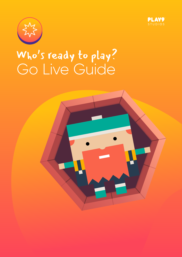



# Go Live Guide Who's ready to play?

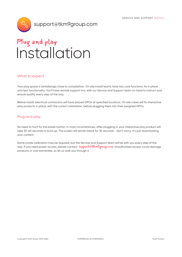

### Installation Plug and play

#### What to expect

Your play space is tantalisingly close to completition. On site install teams have two core functions: fix in place and test functionality. You'll have remote support too, with our Service and Support team on hand to instruct and ensure quality every step of the way.

Before install, electrical contractors will have placed GPOs at specified locations. On site crews will fix interactive play products in place, with the correct orientation, before plugging them into their assigned GPOs.

#### Plug and play

No need to hunt for the power button. In most circumstances, after plugging in, your interactive play product will take 30-60 seconds to boot up. The screen will remain black for 30 seconds - don't worry, it's just downloading your content.

Some onsite calibration may be required, but the Service and Support team will be with you every step of the way. If you need power access, please contact support@tkm9group.com Unauthorised access could damage products or void warranties, so let us walk you through it.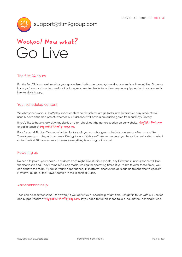

support@tkm9group.com



#### The first 24 hours

For the first 72 hours, we'll monitor your space like a helicopter parent, checking content is online and live. Once we know you're up and running, we'll maintain regular remote checks to make sure your equipment and our content is keeping kids happy.

#### Your scheduled content

We always set up your Play9 play space content so all systems are go for launch. Interactive play products will usually have a themed preset, whereas our Kidszones™ will have a preloaded game from our Play9 Library.

If you'd like to have a look at what else is on offer, check out the games section on our website, *playastudios.com* or get in touch at **support@tkm9group.com** 

If you're an IM Platform™ account holder (lucky you!), you can change or schedule content as often as you like. There's plenty on offer, with content differing for each Kidszone™. We recommend you leave the preloaded content on for the first 48 hours so we can ensure everything is working as it should.

#### Powering up

No need to power your space up or down each night. Like studious robots, any Kidszones™ in your space will take themselves to bed. They'll remain in sleep mode, waking for operating times. If you'd like to alter these times, you can chat to the team. If you like your independence, IM Platform™ account holders can do this themselves (see IM Platform™ guide, or the 'Power' section in the Technical Guide.

#### Aaaaahhhhh help!

Tech can be scary for some! Don't worry, if you get stuck or need help at anytime, just get in touch with our Service and Support team at **Support @tkm9group.com**. If you need to troubleshoot, take a look at the Technical Guide.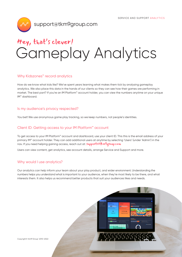

### Gameplay Analytics Hey, that's clever!

#### Why Kidszones<sup>™</sup> record analytics

How do we know what kids like? We've spent years learning what makes them tick by analysing gameplay analytics. We also place this data in the hands of our clients so they can see how their games are performing in market. The best part? If you're an IM Platform™ account holder, you can view the numbers anytime on your unique IM™ dashboard.

#### Is my audience's privacy respected?

You bet! We use anonymous game play tracking, so we keep numbers, not people's identities.

#### Client ID: Getting access to your IM Platform™ account

To get access to your IM Platform™ account and dashboard, use your client ID. This this is the email address of your primary IM™ account holder. They can add additional users at anytime by selecting 'Users' (under 'Admin') in the nav. If you need helping gaining access, reach out at: Support@tkm9group.com

Users can view content, get analytics, see account details, arrange Service and Support and more.

#### Why would I use analytics?

Our analytics can help inform your team about your play product, and wider environment. Understanding the numbers helps you understand what is important to your audience, when they're most likely to be there, and what interests them. It also helps us recommend better products that suit your audiences likes and needs.

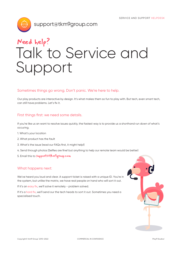

## Talk to Service and Support Need help?

#### Sometimes things go wrong. Don't panic. We're here to help.

Our play products are interactive by design. It's what makes them so fun to play with. But tech, even smart tech, can still have problems. Let's fix it.

#### First things first: we need some details.

If you're like us an want to resolve issues quickly, the fastest way is to provide us a shorthand run down of what's occuring.

- 1. What's your location
- 2. What product has the fault
- 3. What's the issue (read our FAQs first, it might help!)
- 4. Send through photos (Selfies are fine! but anything to help our remote team would be better)
- 5. Email this to support@tkm9group.com

#### What happens next:

We've heard you loud and clear. A support ticket is raised with a unique ID. You're in the system, but unlike the matrix, we have real people on hand who will sort it out.

If it's an easy fix, we'll solve it remotely - problem solved.

If it's a hard fix, we'll send our the tech heads to sort it out. Sometimes you need a specialised touch.

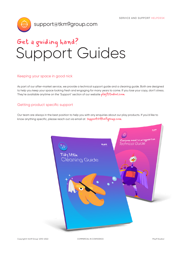

### Support Guides Get a guiding hand?

#### Keeping your space in good nick

As part of our after-market service, we provide a technical support guide and a cleaning guide. Both are designed to help you keep your space looking fresh and engaging for many years to come. If you lose your copy, don't stress. They're available anytime on the 'Support' section of our website *play<sup>q</sup>studios.com* 

#### Getting product specific support

Our team are always in the best position to help you with any enquiries about our play products. If you'd like to know anything specific, please reach out via email at **support@tkm9group.com**